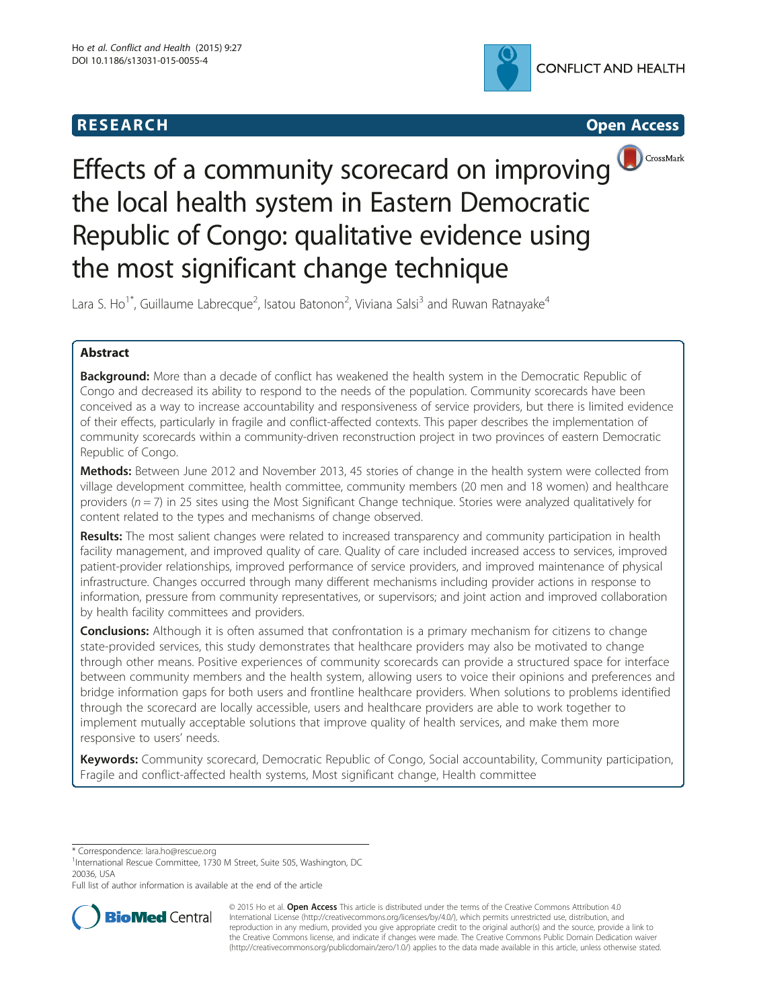





# Effects of a community scorecard on improving the local health system in Eastern Democratic Republic of Congo: qualitative evidence using the most significant change technique

Lara S. Ho<sup>1\*</sup>, Guillaume Labrecque<sup>2</sup>, Isatou Batonon<sup>2</sup>, Viviana Salsi<sup>3</sup> and Ruwan Ratnayake<sup>4</sup>

# Abstract

**Background:** More than a decade of conflict has weakened the health system in the Democratic Republic of Congo and decreased its ability to respond to the needs of the population. Community scorecards have been conceived as a way to increase accountability and responsiveness of service providers, but there is limited evidence of their effects, particularly in fragile and conflict-affected contexts. This paper describes the implementation of community scorecards within a community-driven reconstruction project in two provinces of eastern Democratic Republic of Congo.

Methods: Between June 2012 and November 2013, 45 stories of change in the health system were collected from village development committee, health committee, community members (20 men and 18 women) and healthcare providers ( $n = 7$ ) in 25 sites using the Most Significant Change technique. Stories were analyzed qualitatively for content related to the types and mechanisms of change observed.

Results: The most salient changes were related to increased transparency and community participation in health facility management, and improved quality of care. Quality of care included increased access to services, improved patient-provider relationships, improved performance of service providers, and improved maintenance of physical infrastructure. Changes occurred through many different mechanisms including provider actions in response to information, pressure from community representatives, or supervisors; and joint action and improved collaboration by health facility committees and providers.

**Conclusions:** Although it is often assumed that confrontation is a primary mechanism for citizens to change state-provided services, this study demonstrates that healthcare providers may also be motivated to change through other means. Positive experiences of community scorecards can provide a structured space for interface between community members and the health system, allowing users to voice their opinions and preferences and bridge information gaps for both users and frontline healthcare providers. When solutions to problems identified through the scorecard are locally accessible, users and healthcare providers are able to work together to implement mutually acceptable solutions that improve quality of health services, and make them more responsive to users' needs.

Keywords: Community scorecard, Democratic Republic of Congo, Social accountability, Community participation, Fragile and conflict-affected health systems, Most significant change, Health committee

\* Correspondence: [lara.ho@rescue.org](mailto:lara.ho@rescue.org) <sup>1</sup>

<sup>1</sup>International Rescue Committee, 1730 M Street, Suite 505, Washington, DC 20036, USA

Full list of author information is available at the end of the article



© 2015 Ho et al. Open Access This article is distributed under the terms of the Creative Commons Attribution 4.0 International License [\(http://creativecommons.org/licenses/by/4.0/](http://creativecommons.org/licenses/by/4.0/)), which permits unrestricted use, distribution, and reproduction in any medium, provided you give appropriate credit to the original author(s) and the source, provide a link to the Creative Commons license, and indicate if changes were made. The Creative Commons Public Domain Dedication waiver [\(http://creativecommons.org/publicdomain/zero/1.0/](http://creativecommons.org/publicdomain/zero/1.0/)) applies to the data made available in this article, unless otherwise stated.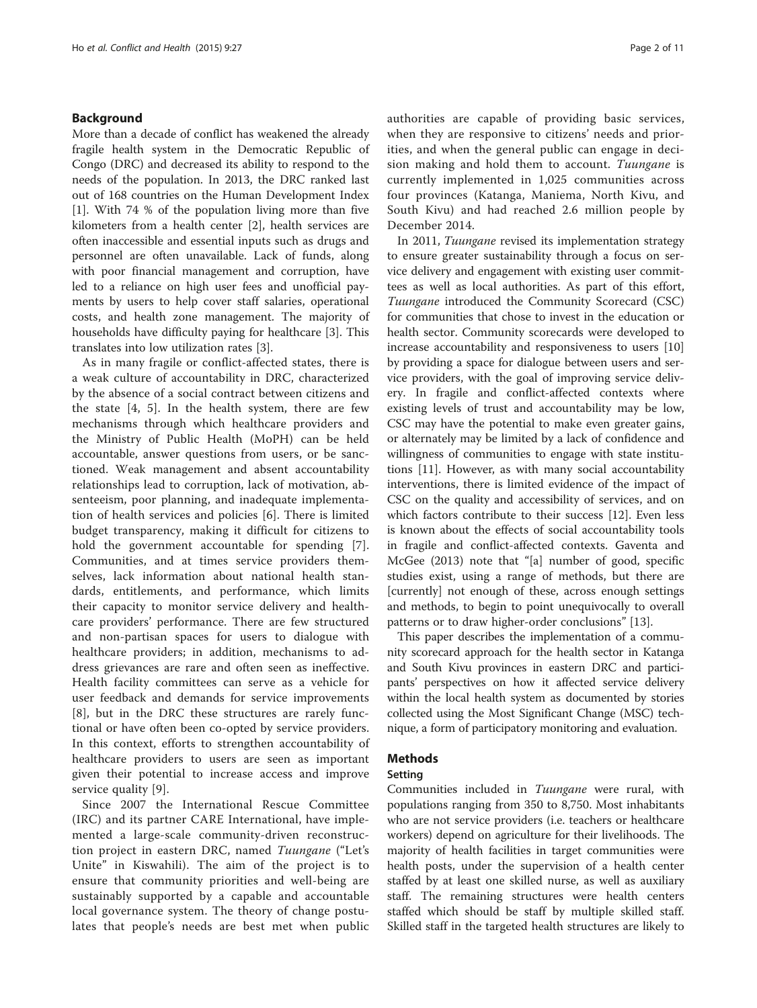# Background

More than a decade of conflict has weakened the already fragile health system in the Democratic Republic of Congo (DRC) and decreased its ability to respond to the needs of the population. In 2013, the DRC ranked last out of 168 countries on the Human Development Index [[1\]](#page-10-0). With 74 % of the population living more than five kilometers from a health center [\[2](#page-10-0)], health services are often inaccessible and essential inputs such as drugs and personnel are often unavailable. Lack of funds, along with poor financial management and corruption, have led to a reliance on high user fees and unofficial payments by users to help cover staff salaries, operational costs, and health zone management. The majority of households have difficulty paying for healthcare [\[3](#page-10-0)]. This translates into low utilization rates [[3\]](#page-10-0).

As in many fragile or conflict-affected states, there is a weak culture of accountability in DRC, characterized by the absence of a social contract between citizens and the state [\[4](#page-10-0), [5\]](#page-10-0). In the health system, there are few mechanisms through which healthcare providers and the Ministry of Public Health (MoPH) can be held accountable, answer questions from users, or be sanctioned. Weak management and absent accountability relationships lead to corruption, lack of motivation, absenteeism, poor planning, and inadequate implementation of health services and policies [[6\]](#page-10-0). There is limited budget transparency, making it difficult for citizens to hold the government accountable for spending [\[7](#page-10-0)]. Communities, and at times service providers themselves, lack information about national health standards, entitlements, and performance, which limits their capacity to monitor service delivery and healthcare providers' performance. There are few structured and non-partisan spaces for users to dialogue with healthcare providers; in addition, mechanisms to address grievances are rare and often seen as ineffective. Health facility committees can serve as a vehicle for user feedback and demands for service improvements [[8\]](#page-10-0), but in the DRC these structures are rarely functional or have often been co-opted by service providers. In this context, efforts to strengthen accountability of healthcare providers to users are seen as important given their potential to increase access and improve service quality [[9\]](#page-10-0).

Since 2007 the International Rescue Committee (IRC) and its partner CARE International, have implemented a large-scale community-driven reconstruction project in eastern DRC, named Tuungane ("Let's Unite" in Kiswahili). The aim of the project is to ensure that community priorities and well-being are sustainably supported by a capable and accountable local governance system. The theory of change postulates that people's needs are best met when public

authorities are capable of providing basic services, when they are responsive to citizens' needs and priorities, and when the general public can engage in decision making and hold them to account. Tuungane is currently implemented in 1,025 communities across four provinces (Katanga, Maniema, North Kivu, and South Kivu) and had reached 2.6 million people by December 2014.

In 2011, Tuungane revised its implementation strategy to ensure greater sustainability through a focus on service delivery and engagement with existing user committees as well as local authorities. As part of this effort, Tuungane introduced the Community Scorecard (CSC) for communities that chose to invest in the education or health sector. Community scorecards were developed to increase accountability and responsiveness to users [[10](#page-10-0)] by providing a space for dialogue between users and service providers, with the goal of improving service delivery. In fragile and conflict-affected contexts where existing levels of trust and accountability may be low, CSC may have the potential to make even greater gains, or alternately may be limited by a lack of confidence and willingness of communities to engage with state institutions [\[11\]](#page-10-0). However, as with many social accountability interventions, there is limited evidence of the impact of CSC on the quality and accessibility of services, and on which factors contribute to their success [[12\]](#page-10-0). Even less is known about the effects of social accountability tools in fragile and conflict-affected contexts. Gaventa and McGee (2013) note that "[a] number of good, specific studies exist, using a range of methods, but there are [currently] not enough of these, across enough settings and methods, to begin to point unequivocally to overall patterns or to draw higher-order conclusions" [[13\]](#page-10-0).

This paper describes the implementation of a community scorecard approach for the health sector in Katanga and South Kivu provinces in eastern DRC and participants' perspectives on how it affected service delivery within the local health system as documented by stories collected using the Most Significant Change (MSC) technique, a form of participatory monitoring and evaluation.

# Methods

#### Setting

Communities included in Tuungane were rural, with populations ranging from 350 to 8,750. Most inhabitants who are not service providers (i.e. teachers or healthcare workers) depend on agriculture for their livelihoods. The majority of health facilities in target communities were health posts, under the supervision of a health center staffed by at least one skilled nurse, as well as auxiliary staff. The remaining structures were health centers staffed which should be staff by multiple skilled staff. Skilled staff in the targeted health structures are likely to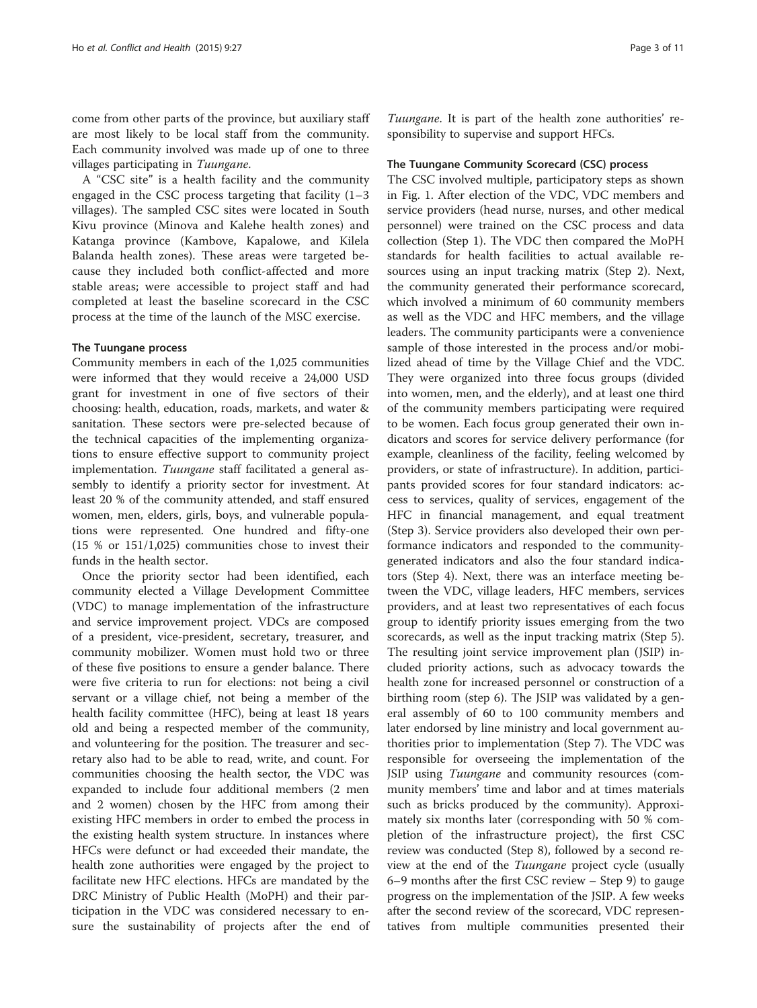come from other parts of the province, but auxiliary staff are most likely to be local staff from the community. Each community involved was made up of one to three villages participating in Tuungane.

A "CSC site" is a health facility and the community engaged in the CSC process targeting that facility  $(1-3)$ villages). The sampled CSC sites were located in South Kivu province (Minova and Kalehe health zones) and Katanga province (Kambove, Kapalowe, and Kilela Balanda health zones). These areas were targeted because they included both conflict-affected and more stable areas; were accessible to project staff and had completed at least the baseline scorecard in the CSC process at the time of the launch of the MSC exercise.

# The Tuungane process

Community members in each of the 1,025 communities were informed that they would receive a 24,000 USD grant for investment in one of five sectors of their choosing: health, education, roads, markets, and water & sanitation. These sectors were pre-selected because of the technical capacities of the implementing organizations to ensure effective support to community project implementation. Tuungane staff facilitated a general assembly to identify a priority sector for investment. At least 20 % of the community attended, and staff ensured women, men, elders, girls, boys, and vulnerable populations were represented. One hundred and fifty-one (15 % or 151/1,025) communities chose to invest their funds in the health sector.

Once the priority sector had been identified, each community elected a Village Development Committee (VDC) to manage implementation of the infrastructure and service improvement project. VDCs are composed of a president, vice-president, secretary, treasurer, and community mobilizer. Women must hold two or three of these five positions to ensure a gender balance. There were five criteria to run for elections: not being a civil servant or a village chief, not being a member of the health facility committee (HFC), being at least 18 years old and being a respected member of the community, and volunteering for the position. The treasurer and secretary also had to be able to read, write, and count. For communities choosing the health sector, the VDC was expanded to include four additional members (2 men and 2 women) chosen by the HFC from among their existing HFC members in order to embed the process in the existing health system structure. In instances where HFCs were defunct or had exceeded their mandate, the health zone authorities were engaged by the project to facilitate new HFC elections. HFCs are mandated by the DRC Ministry of Public Health (MoPH) and their participation in the VDC was considered necessary to ensure the sustainability of projects after the end of Tuungane. It is part of the health zone authorities' responsibility to supervise and support HFCs.

## The Tuungane Community Scorecard (CSC) process

The CSC involved multiple, participatory steps as shown in Fig. [1](#page-3-0). After election of the VDC, VDC members and service providers (head nurse, nurses, and other medical personnel) were trained on the CSC process and data collection (Step 1). The VDC then compared the MoPH standards for health facilities to actual available resources using an input tracking matrix (Step 2). Next, the community generated their performance scorecard, which involved a minimum of 60 community members as well as the VDC and HFC members, and the village leaders. The community participants were a convenience sample of those interested in the process and/or mobilized ahead of time by the Village Chief and the VDC. They were organized into three focus groups (divided into women, men, and the elderly), and at least one third of the community members participating were required to be women. Each focus group generated their own indicators and scores for service delivery performance (for example, cleanliness of the facility, feeling welcomed by providers, or state of infrastructure). In addition, participants provided scores for four standard indicators: access to services, quality of services, engagement of the HFC in financial management, and equal treatment (Step 3). Service providers also developed their own performance indicators and responded to the communitygenerated indicators and also the four standard indicators (Step 4). Next, there was an interface meeting between the VDC, village leaders, HFC members, services providers, and at least two representatives of each focus group to identify priority issues emerging from the two scorecards, as well as the input tracking matrix (Step 5). The resulting joint service improvement plan (JSIP) included priority actions, such as advocacy towards the health zone for increased personnel or construction of a birthing room (step 6). The JSIP was validated by a general assembly of 60 to 100 community members and later endorsed by line ministry and local government authorities prior to implementation (Step 7). The VDC was responsible for overseeing the implementation of the JSIP using Tuungane and community resources (community members' time and labor and at times materials such as bricks produced by the community). Approximately six months later (corresponding with 50 % completion of the infrastructure project), the first CSC review was conducted (Step 8), followed by a second review at the end of the Tuungane project cycle (usually 6–9 months after the first CSC review – Step 9) to gauge progress on the implementation of the JSIP. A few weeks after the second review of the scorecard, VDC representatives from multiple communities presented their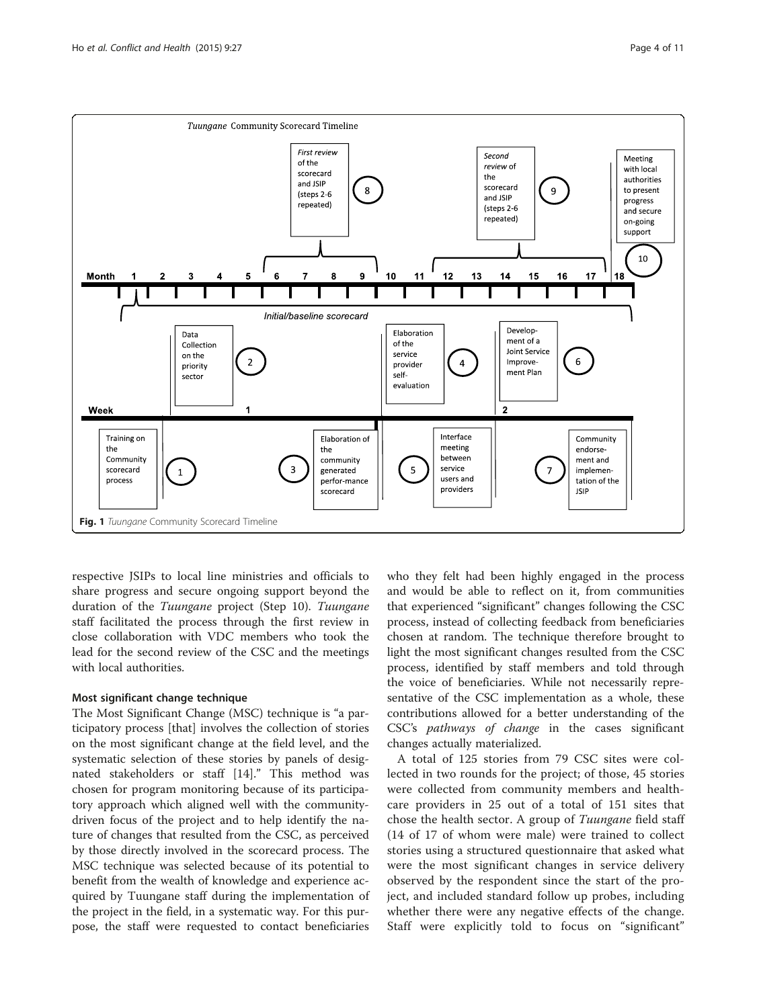<span id="page-3-0"></span>

respective JSIPs to local line ministries and officials to share progress and secure ongoing support beyond the duration of the Tuungane project (Step 10). Tuungane staff facilitated the process through the first review in close collaboration with VDC members who took the lead for the second review of the CSC and the meetings with local authorities.

# Most significant change technique

The Most Significant Change (MSC) technique is "a participatory process [that] involves the collection of stories on the most significant change at the field level, and the systematic selection of these stories by panels of designated stakeholders or staff [[14](#page-10-0)]." This method was chosen for program monitoring because of its participatory approach which aligned well with the communitydriven focus of the project and to help identify the nature of changes that resulted from the CSC, as perceived by those directly involved in the scorecard process. The MSC technique was selected because of its potential to benefit from the wealth of knowledge and experience acquired by Tuungane staff during the implementation of the project in the field, in a systematic way. For this purpose, the staff were requested to contact beneficiaries who they felt had been highly engaged in the process and would be able to reflect on it, from communities that experienced "significant" changes following the CSC process, instead of collecting feedback from beneficiaries chosen at random. The technique therefore brought to light the most significant changes resulted from the CSC process, identified by staff members and told through the voice of beneficiaries. While not necessarily representative of the CSC implementation as a whole, these contributions allowed for a better understanding of the CSC's pathways of change in the cases significant changes actually materialized.

A total of 125 stories from 79 CSC sites were collected in two rounds for the project; of those, 45 stories were collected from community members and healthcare providers in 25 out of a total of 151 sites that chose the health sector. A group of Tuungane field staff (14 of 17 of whom were male) were trained to collect stories using a structured questionnaire that asked what were the most significant changes in service delivery observed by the respondent since the start of the project, and included standard follow up probes, including whether there were any negative effects of the change. Staff were explicitly told to focus on "significant"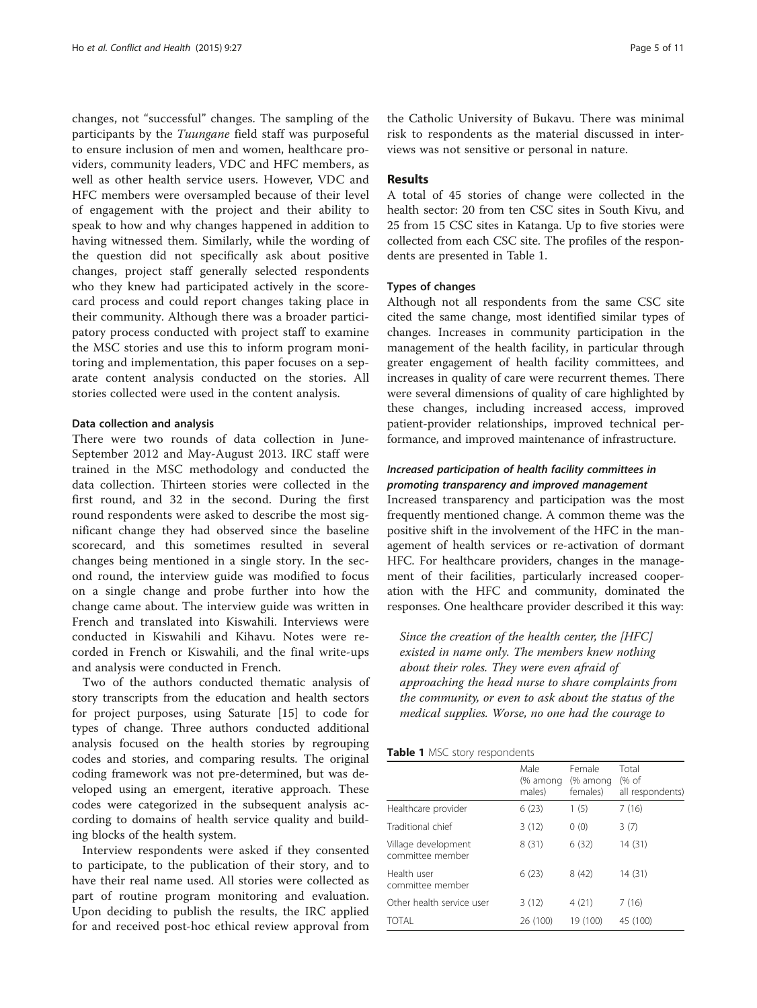changes, not "successful" changes. The sampling of the participants by the Tuungane field staff was purposeful to ensure inclusion of men and women, healthcare providers, community leaders, VDC and HFC members, as well as other health service users. However, VDC and HFC members were oversampled because of their level of engagement with the project and their ability to speak to how and why changes happened in addition to having witnessed them. Similarly, while the wording of the question did not specifically ask about positive changes, project staff generally selected respondents who they knew had participated actively in the scorecard process and could report changes taking place in their community. Although there was a broader participatory process conducted with project staff to examine the MSC stories and use this to inform program monitoring and implementation, this paper focuses on a separate content analysis conducted on the stories. All stories collected were used in the content analysis.

# Data collection and analysis

There were two rounds of data collection in June-September 2012 and May-August 2013. IRC staff were trained in the MSC methodology and conducted the data collection. Thirteen stories were collected in the first round, and 32 in the second. During the first round respondents were asked to describe the most significant change they had observed since the baseline scorecard, and this sometimes resulted in several changes being mentioned in a single story. In the second round, the interview guide was modified to focus on a single change and probe further into how the change came about. The interview guide was written in French and translated into Kiswahili. Interviews were conducted in Kiswahili and Kihavu. Notes were recorded in French or Kiswahili, and the final write-ups and analysis were conducted in French.

Two of the authors conducted thematic analysis of story transcripts from the education and health sectors for project purposes, using Saturate [[15\]](#page-10-0) to code for types of change. Three authors conducted additional analysis focused on the health stories by regrouping codes and stories, and comparing results. The original coding framework was not pre-determined, but was developed using an emergent, iterative approach. These codes were categorized in the subsequent analysis according to domains of health service quality and building blocks of the health system.

Interview respondents were asked if they consented to participate, to the publication of their story, and to have their real name used. All stories were collected as part of routine program monitoring and evaluation. Upon deciding to publish the results, the IRC applied for and received post-hoc ethical review approval from

the Catholic University of Bukavu. There was minimal risk to respondents as the material discussed in interviews was not sensitive or personal in nature.

# Results

A total of 45 stories of change were collected in the health sector: 20 from ten CSC sites in South Kivu, and 25 from 15 CSC sites in Katanga. Up to five stories were collected from each CSC site. The profiles of the respondents are presented in Table 1.

## Types of changes

Although not all respondents from the same CSC site cited the same change, most identified similar types of changes. Increases in community participation in the management of the health facility, in particular through greater engagement of health facility committees, and increases in quality of care were recurrent themes. There were several dimensions of quality of care highlighted by these changes, including increased access, improved patient-provider relationships, improved technical performance, and improved maintenance of infrastructure.

# Increased participation of health facility committees in promoting transparency and improved management

Increased transparency and participation was the most frequently mentioned change. A common theme was the positive shift in the involvement of the HFC in the management of health services or re-activation of dormant HFC. For healthcare providers, changes in the management of their facilities, particularly increased cooperation with the HFC and community, dominated the responses. One healthcare provider described it this way:

Since the creation of the health center, the [HFC] existed in name only. The members knew nothing about their roles. They were even afraid of approaching the head nurse to share complaints from the community, or even to ask about the status of the medical supplies. Worse, no one had the courage to

| Table 1 MSC story respondents |  |  |
|-------------------------------|--|--|
|-------------------------------|--|--|

|                                         | Male<br>(% among<br>males) | Female<br>(% among<br>females) | Total<br>(% of<br>all respondents) |
|-----------------------------------------|----------------------------|--------------------------------|------------------------------------|
| Healthcare provider                     | 6(23)                      | 1(5)                           | 7(16)                              |
| Traditional chief                       | 3(12)                      | 0(0)                           | 3(7)                               |
| Village development<br>committee member | 8(31)                      | 6(32)                          | 14(31)                             |
| Health user<br>committee member         | 6(23)                      | 8(42)                          | 14(31)                             |
| Other health service user               | 3(12)                      | 4(21)                          | 7(16)                              |
| <b>TOTAL</b>                            | 26 (100)                   | 19 (100)                       | 45 (100)                           |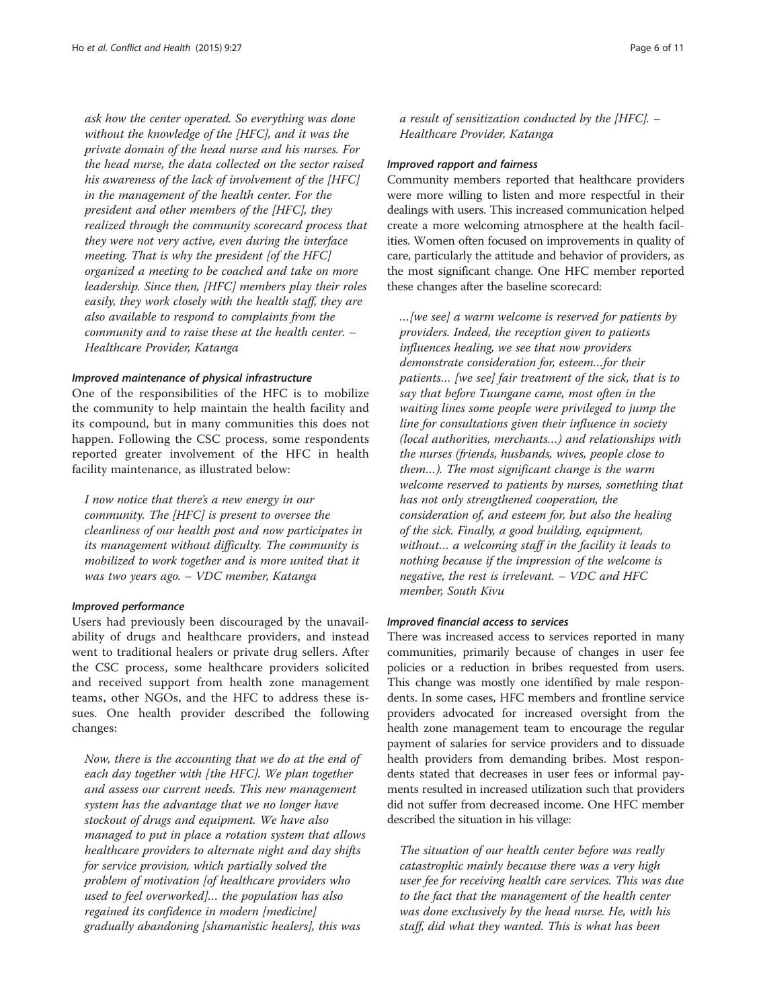ask how the center operated. So everything was done without the knowledge of the [HFC], and it was the private domain of the head nurse and his nurses. For the head nurse, the data collected on the sector raised his awareness of the lack of involvement of the [HFC] in the management of the health center. For the president and other members of the [HFC], they realized through the community scorecard process that they were not very active, even during the interface meeting. That is why the president [of the HFC] organized a meeting to be coached and take on more leadership. Since then, [HFC] members play their roles easily, they work closely with the health staff, they are also available to respond to complaints from the community and to raise these at the health center. – Healthcare Provider, Katanga

# Improved maintenance of physical infrastructure

One of the responsibilities of the HFC is to mobilize the community to help maintain the health facility and its compound, but in many communities this does not happen. Following the CSC process, some respondents reported greater involvement of the HFC in health facility maintenance, as illustrated below:

I now notice that there's a new energy in our community. The [HFC] is present to oversee the cleanliness of our health post and now participates in its management without difficulty. The community is mobilized to work together and is more united that it was two years ago. – VDC member, Katanga

# Improved performance

Users had previously been discouraged by the unavailability of drugs and healthcare providers, and instead went to traditional healers or private drug sellers. After the CSC process, some healthcare providers solicited and received support from health zone management teams, other NGOs, and the HFC to address these issues. One health provider described the following changes:

Now, there is the accounting that we do at the end of each day together with [the HFC]. We plan together and assess our current needs. This new management system has the advantage that we no longer have stockout of drugs and equipment. We have also managed to put in place a rotation system that allows healthcare providers to alternate night and day shifts for service provision, which partially solved the problem of motivation [of healthcare providers who used to feel overworked]… the population has also regained its confidence in modern [medicine] gradually abandoning [shamanistic healers], this was

a result of sensitization conducted by the [HFC]. – Healthcare Provider, Katanga

# Improved rapport and fairness

Community members reported that healthcare providers were more willing to listen and more respectful in their dealings with users. This increased communication helped create a more welcoming atmosphere at the health facilities. Women often focused on improvements in quality of care, particularly the attitude and behavior of providers, as the most significant change. One HFC member reported these changes after the baseline scorecard:

…[we see] a warm welcome is reserved for patients by providers. Indeed, the reception given to patients influences healing, we see that now providers demonstrate consideration for, esteem…for their patients… [we see] fair treatment of the sick, that is to say that before Tuungane came, most often in the waiting lines some people were privileged to jump the line for consultations given their influence in society (local authorities, merchants…) and relationships with the nurses (friends, husbands, wives, people close to them…). The most significant change is the warm welcome reserved to patients by nurses, something that has not only strengthened cooperation, the consideration of, and esteem for, but also the healing of the sick. Finally, a good building, equipment, without… a welcoming staff in the facility it leads to nothing because if the impression of the welcome is negative, the rest is irrelevant. – VDC and HFC member, South Kivu

# Improved financial access to services

There was increased access to services reported in many communities, primarily because of changes in user fee policies or a reduction in bribes requested from users. This change was mostly one identified by male respondents. In some cases, HFC members and frontline service providers advocated for increased oversight from the health zone management team to encourage the regular payment of salaries for service providers and to dissuade health providers from demanding bribes. Most respondents stated that decreases in user fees or informal payments resulted in increased utilization such that providers did not suffer from decreased income. One HFC member described the situation in his village:

The situation of our health center before was really catastrophic mainly because there was a very high user fee for receiving health care services. This was due to the fact that the management of the health center was done exclusively by the head nurse. He, with his staff, did what they wanted. This is what has been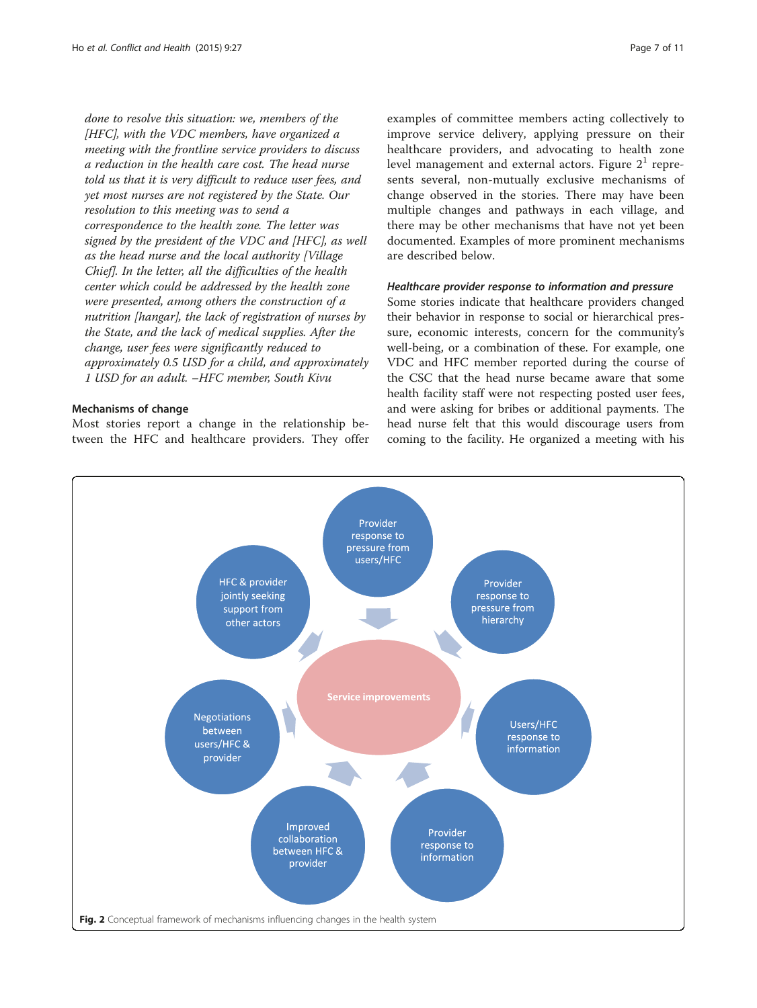done to resolve this situation: we, members of the [HFC], with the VDC members, have organized a meeting with the frontline service providers to discuss a reduction in the health care cost. The head nurse told us that it is very difficult to reduce user fees, and yet most nurses are not registered by the State. Our resolution to this meeting was to send a correspondence to the health zone. The letter was signed by the president of the VDC and [HFC], as well as the head nurse and the local authority [Village Chief]. In the letter, all the difficulties of the health center which could be addressed by the health zone were presented, among others the construction of a nutrition [hangar], the lack of registration of nurses by the State, and the lack of medical supplies. After the change, user fees were significantly reduced to approximately 0.5 USD for a child, and approximately 1 USD for an adult. –HFC member, South Kivu

# Mechanisms of change

Most stories report a change in the relationship between the HFC and healthcare providers. They offer examples of committee members acting collectively to improve service delivery, applying pressure on their healthcare providers, and advocating to health zone level management and external actors. Figure  $2<sup>1</sup>$  represents several, non-mutually exclusive mechanisms of change observed in the stories. There may have been multiple changes and pathways in each village, and there may be other mechanisms that have not yet been documented. Examples of more prominent mechanisms are described below.

# Healthcare provider response to information and pressure

Some stories indicate that healthcare providers changed their behavior in response to social or hierarchical pressure, economic interests, concern for the community's well-being, or a combination of these. For example, one VDC and HFC member reported during the course of the CSC that the head nurse became aware that some health facility staff were not respecting posted user fees, and were asking for bribes or additional payments. The head nurse felt that this would discourage users from coming to the facility. He organized a meeting with his

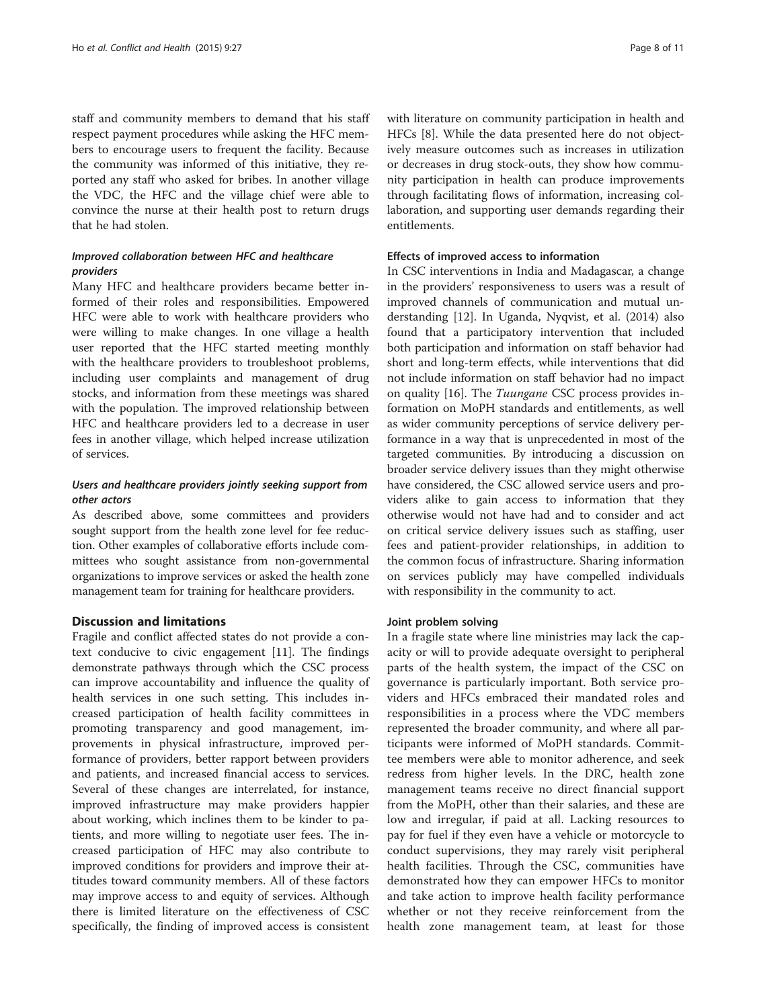staff and community members to demand that his staff respect payment procedures while asking the HFC members to encourage users to frequent the facility. Because the community was informed of this initiative, they reported any staff who asked for bribes. In another village the VDC, the HFC and the village chief were able to convince the nurse at their health post to return drugs that he had stolen.

# Improved collaboration between HFC and healthcare providers

Many HFC and healthcare providers became better informed of their roles and responsibilities. Empowered HFC were able to work with healthcare providers who were willing to make changes. In one village a health user reported that the HFC started meeting monthly with the healthcare providers to troubleshoot problems, including user complaints and management of drug stocks, and information from these meetings was shared with the population. The improved relationship between HFC and healthcare providers led to a decrease in user fees in another village, which helped increase utilization of services.

# Users and healthcare providers jointly seeking support from other actors

As described above, some committees and providers sought support from the health zone level for fee reduction. Other examples of collaborative efforts include committees who sought assistance from non-governmental organizations to improve services or asked the health zone management team for training for healthcare providers.

# Discussion and limitations

Fragile and conflict affected states do not provide a context conducive to civic engagement [[11\]](#page-10-0). The findings demonstrate pathways through which the CSC process can improve accountability and influence the quality of health services in one such setting. This includes increased participation of health facility committees in promoting transparency and good management, improvements in physical infrastructure, improved performance of providers, better rapport between providers and patients, and increased financial access to services. Several of these changes are interrelated, for instance, improved infrastructure may make providers happier about working, which inclines them to be kinder to patients, and more willing to negotiate user fees. The increased participation of HFC may also contribute to improved conditions for providers and improve their attitudes toward community members. All of these factors may improve access to and equity of services. Although there is limited literature on the effectiveness of CSC specifically, the finding of improved access is consistent with literature on community participation in health and HFCs [[8\]](#page-10-0). While the data presented here do not objectively measure outcomes such as increases in utilization or decreases in drug stock-outs, they show how community participation in health can produce improvements through facilitating flows of information, increasing collaboration, and supporting user demands regarding their entitlements.

# Effects of improved access to information

In CSC interventions in India and Madagascar, a change in the providers' responsiveness to users was a result of improved channels of communication and mutual understanding [\[12\]](#page-10-0). In Uganda, Nyqvist, et al. (2014) also found that a participatory intervention that included both participation and information on staff behavior had short and long-term effects, while interventions that did not include information on staff behavior had no impact on quality [[16](#page-10-0)]. The Tuungane CSC process provides information on MoPH standards and entitlements, as well as wider community perceptions of service delivery performance in a way that is unprecedented in most of the targeted communities. By introducing a discussion on broader service delivery issues than they might otherwise have considered, the CSC allowed service users and providers alike to gain access to information that they otherwise would not have had and to consider and act on critical service delivery issues such as staffing, user fees and patient-provider relationships, in addition to the common focus of infrastructure. Sharing information on services publicly may have compelled individuals with responsibility in the community to act.

# Joint problem solving

In a fragile state where line ministries may lack the capacity or will to provide adequate oversight to peripheral parts of the health system, the impact of the CSC on governance is particularly important. Both service providers and HFCs embraced their mandated roles and responsibilities in a process where the VDC members represented the broader community, and where all participants were informed of MoPH standards. Committee members were able to monitor adherence, and seek redress from higher levels. In the DRC, health zone management teams receive no direct financial support from the MoPH, other than their salaries, and these are low and irregular, if paid at all. Lacking resources to pay for fuel if they even have a vehicle or motorcycle to conduct supervisions, they may rarely visit peripheral health facilities. Through the CSC, communities have demonstrated how they can empower HFCs to monitor and take action to improve health facility performance whether or not they receive reinforcement from the health zone management team, at least for those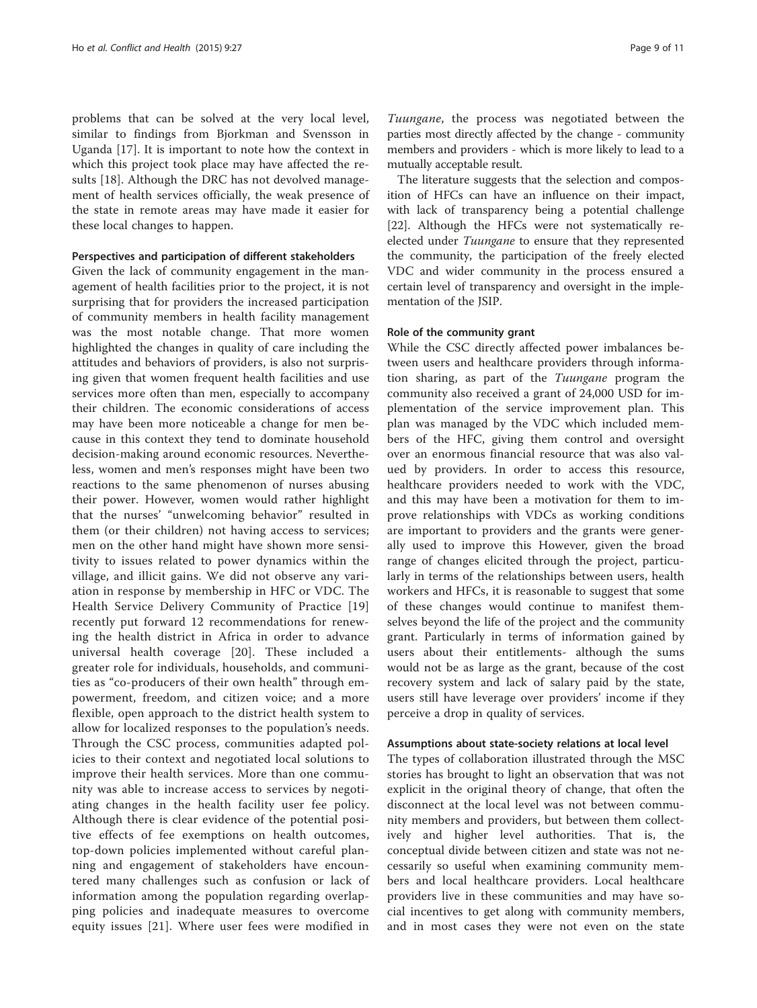problems that can be solved at the very local level, similar to findings from Bjorkman and Svensson in Uganda [[17\]](#page-10-0). It is important to note how the context in which this project took place may have affected the results [[18](#page-10-0)]. Although the DRC has not devolved management of health services officially, the weak presence of the state in remote areas may have made it easier for these local changes to happen.

# Perspectives and participation of different stakeholders

Given the lack of community engagement in the management of health facilities prior to the project, it is not surprising that for providers the increased participation of community members in health facility management was the most notable change. That more women highlighted the changes in quality of care including the attitudes and behaviors of providers, is also not surprising given that women frequent health facilities and use services more often than men, especially to accompany their children. The economic considerations of access may have been more noticeable a change for men because in this context they tend to dominate household decision-making around economic resources. Nevertheless, women and men's responses might have been two reactions to the same phenomenon of nurses abusing their power. However, women would rather highlight that the nurses' "unwelcoming behavior" resulted in them (or their children) not having access to services; men on the other hand might have shown more sensitivity to issues related to power dynamics within the village, and illicit gains. We did not observe any variation in response by membership in HFC or VDC. The Health Service Delivery Community of Practice [\[19](#page-10-0)] recently put forward 12 recommendations for renewing the health district in Africa in order to advance universal health coverage [[20](#page-10-0)]. These included a greater role for individuals, households, and communities as "co-producers of their own health" through empowerment, freedom, and citizen voice; and a more flexible, open approach to the district health system to allow for localized responses to the population's needs. Through the CSC process, communities adapted policies to their context and negotiated local solutions to improve their health services. More than one community was able to increase access to services by negotiating changes in the health facility user fee policy. Although there is clear evidence of the potential positive effects of fee exemptions on health outcomes, top-down policies implemented without careful planning and engagement of stakeholders have encountered many challenges such as confusion or lack of information among the population regarding overlapping policies and inadequate measures to overcome equity issues [[21\]](#page-10-0). Where user fees were modified in Tuungane, the process was negotiated between the parties most directly affected by the change - community members and providers - which is more likely to lead to a mutually acceptable result.

The literature suggests that the selection and composition of HFCs can have an influence on their impact, with lack of transparency being a potential challenge [[22\]](#page-10-0). Although the HFCs were not systematically reelected under Tuungane to ensure that they represented the community, the participation of the freely elected VDC and wider community in the process ensured a certain level of transparency and oversight in the implementation of the JSIP.

#### Role of the community grant

While the CSC directly affected power imbalances between users and healthcare providers through information sharing, as part of the Tuungane program the community also received a grant of 24,000 USD for implementation of the service improvement plan. This plan was managed by the VDC which included members of the HFC, giving them control and oversight over an enormous financial resource that was also valued by providers. In order to access this resource, healthcare providers needed to work with the VDC, and this may have been a motivation for them to improve relationships with VDCs as working conditions are important to providers and the grants were generally used to improve this However, given the broad range of changes elicited through the project, particularly in terms of the relationships between users, health workers and HFCs, it is reasonable to suggest that some of these changes would continue to manifest themselves beyond the life of the project and the community grant. Particularly in terms of information gained by users about their entitlements- although the sums would not be as large as the grant, because of the cost recovery system and lack of salary paid by the state, users still have leverage over providers' income if they perceive a drop in quality of services.

## Assumptions about state-society relations at local level

The types of collaboration illustrated through the MSC stories has brought to light an observation that was not explicit in the original theory of change, that often the disconnect at the local level was not between community members and providers, but between them collectively and higher level authorities. That is, the conceptual divide between citizen and state was not necessarily so useful when examining community members and local healthcare providers. Local healthcare providers live in these communities and may have social incentives to get along with community members, and in most cases they were not even on the state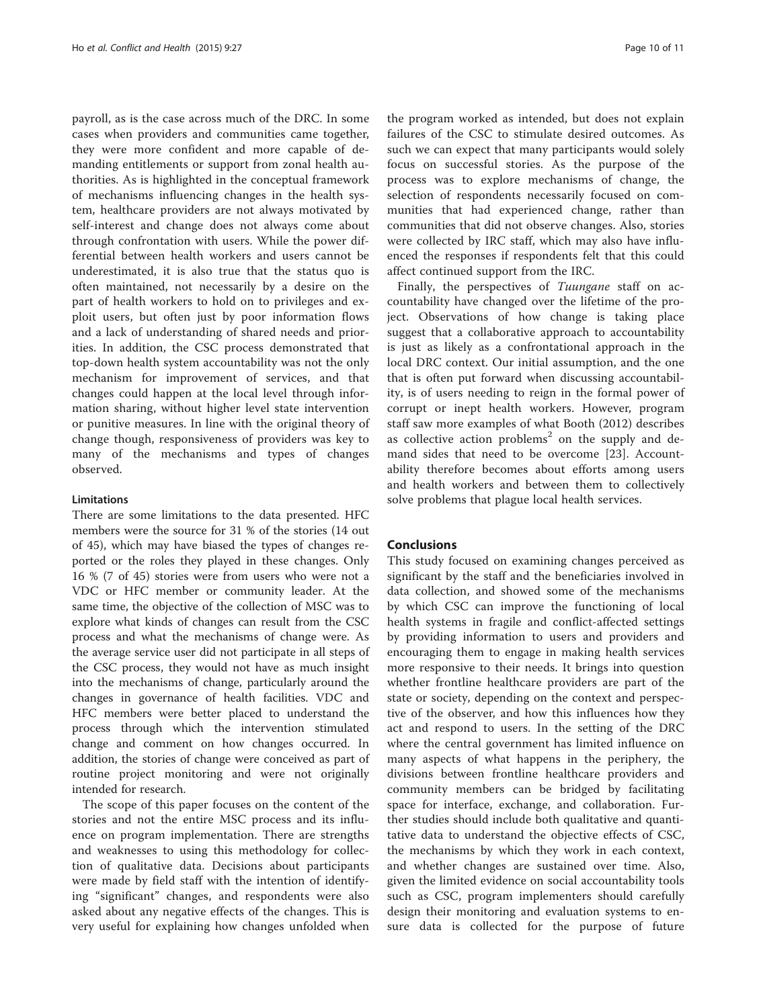payroll, as is the case across much of the DRC. In some cases when providers and communities came together, they were more confident and more capable of demanding entitlements or support from zonal health authorities. As is highlighted in the conceptual framework of mechanisms influencing changes in the health system, healthcare providers are not always motivated by self-interest and change does not always come about through confrontation with users. While the power differential between health workers and users cannot be underestimated, it is also true that the status quo is often maintained, not necessarily by a desire on the part of health workers to hold on to privileges and exploit users, but often just by poor information flows and a lack of understanding of shared needs and priorities. In addition, the CSC process demonstrated that top-down health system accountability was not the only mechanism for improvement of services, and that changes could happen at the local level through information sharing, without higher level state intervention or punitive measures. In line with the original theory of change though, responsiveness of providers was key to many of the mechanisms and types of changes observed.

# Limitations

There are some limitations to the data presented. HFC members were the source for 31 % of the stories (14 out of 45), which may have biased the types of changes reported or the roles they played in these changes. Only 16 % (7 of 45) stories were from users who were not a VDC or HFC member or community leader. At the same time, the objective of the collection of MSC was to explore what kinds of changes can result from the CSC process and what the mechanisms of change were. As the average service user did not participate in all steps of the CSC process, they would not have as much insight into the mechanisms of change, particularly around the changes in governance of health facilities. VDC and HFC members were better placed to understand the process through which the intervention stimulated change and comment on how changes occurred. In addition, the stories of change were conceived as part of routine project monitoring and were not originally intended for research.

The scope of this paper focuses on the content of the stories and not the entire MSC process and its influence on program implementation. There are strengths and weaknesses to using this methodology for collection of qualitative data. Decisions about participants were made by field staff with the intention of identifying "significant" changes, and respondents were also asked about any negative effects of the changes. This is very useful for explaining how changes unfolded when the program worked as intended, but does not explain failures of the CSC to stimulate desired outcomes. As such we can expect that many participants would solely focus on successful stories. As the purpose of the process was to explore mechanisms of change, the selection of respondents necessarily focused on communities that had experienced change, rather than communities that did not observe changes. Also, stories were collected by IRC staff, which may also have influenced the responses if respondents felt that this could affect continued support from the IRC.

Finally, the perspectives of Tuungane staff on accountability have changed over the lifetime of the project. Observations of how change is taking place suggest that a collaborative approach to accountability is just as likely as a confrontational approach in the local DRC context. Our initial assumption, and the one that is often put forward when discussing accountability, is of users needing to reign in the formal power of corrupt or inept health workers. However, program staff saw more examples of what Booth (2012) describes as collective action problems<sup>2</sup> on the supply and demand sides that need to be overcome [[23\]](#page-10-0). Accountability therefore becomes about efforts among users and health workers and between them to collectively solve problems that plague local health services.

# **Conclusions**

This study focused on examining changes perceived as significant by the staff and the beneficiaries involved in data collection, and showed some of the mechanisms by which CSC can improve the functioning of local health systems in fragile and conflict-affected settings by providing information to users and providers and encouraging them to engage in making health services more responsive to their needs. It brings into question whether frontline healthcare providers are part of the state or society, depending on the context and perspective of the observer, and how this influences how they act and respond to users. In the setting of the DRC where the central government has limited influence on many aspects of what happens in the periphery, the divisions between frontline healthcare providers and community members can be bridged by facilitating space for interface, exchange, and collaboration. Further studies should include both qualitative and quantitative data to understand the objective effects of CSC, the mechanisms by which they work in each context, and whether changes are sustained over time. Also, given the limited evidence on social accountability tools such as CSC, program implementers should carefully design their monitoring and evaluation systems to ensure data is collected for the purpose of future